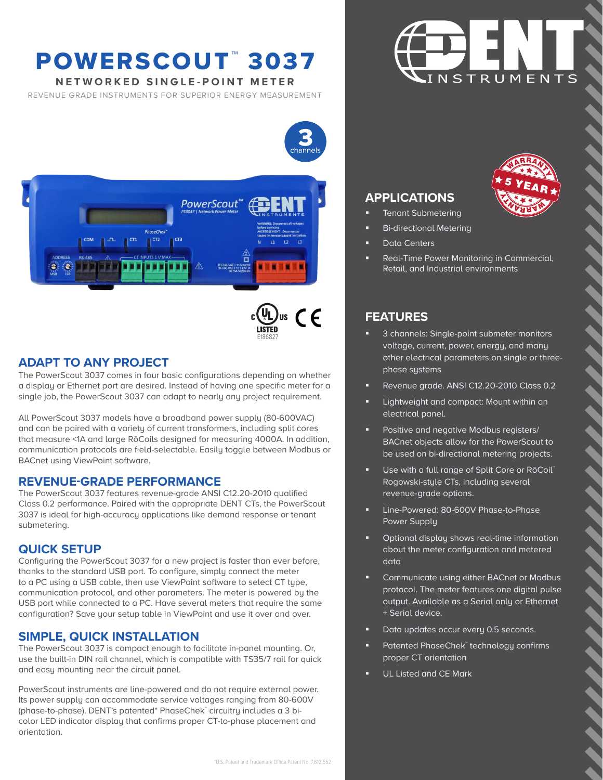## POWERSCOUT™3037

**NETWORKED SINGLE-POINT METER**

REVENUE GRADE INSTRUMENTS FOR SUPERIOR ENERGY MEASUREMENT





E186827

\*U.S. Patent and Trademark Office Patent No. 7,612,552

## **ADAPT TO ANY PROJECT**

The PowerScout 3037 comes in four basic configurations depending on whether a display or Ethernet port are desired. Instead of having one specific meter for a single job, the PowerScout 3037 can adapt to nearly any project requirement.

All PowerScout 3037 models have a broadband power supply (80-600VAC) and can be paired with a variety of current transformers, including split cores that measure <1A and large RōCoils designed for measuring 4000A. In addition, communication protocols are field-selectable. Easily toggle between Modbus or BACnet using ViewPoint software.

### **REVENUE-GRADE PERFORMANCE**

The PowerScout 3037 features revenue-grade ANSI C12.20-2010 qualified Class 0.2 performance. Paired with the appropriate DENT CTs, the PowerScout 3037 is ideal for high-accuracy applications like demand response or tenant submetering.

### **QUICK SETUP**

Configuring the PowerScout 3037 for a new project is faster than ever before, thanks to the standard USB port. To configure, simply connect the meter to a PC using a USB cable, then use ViewPoint software to select CT type, communication protocol, and other parameters. The meter is powered by the USB port while connected to a PC. Have several meters that require the same configuration? Save your setup table in ViewPoint and use it over and over.

### **SIMPLE, QUICK INSTALLATION**

The PowerScout 3037 is compact enough to facilitate in-panel mounting. Or, use the built-in DIN rail channel, which is compatible with TS35/7 rail for quick and easy mounting near the circuit panel.

PowerScout instruments are line-powered and do not require external power. Its power supply can accommodate service voltages ranging from 80-600V (phase-to-phase). DENT's patented\* PhaseChek™ circuitry includes a 3 bicolor LED indicator display that confirms proper CT-to-phase placement and orientation.



TY

WARRANTY

W **NARRA** 

## **APPLICATIONS**

- Tenant Submetering
- Bi-directional Metering
- Data Centers
- Real-Time Power Monitoring in Commercial, Retail, and Industrial environments

## **FEATURES**

- 3 channels: Single-point submeter monitors voltage, current, power, energy, and many other electrical parameters on single or threephase systems
- Revenue grade. ANSI C12.20-2010 Class 0.2
- Lightweight and compact: Mount within an electrical panel.
- Positive and negative Modbus registers/ BACnet objects allow for the PowerScout to be used on bi-directional metering projects.
- Use with a full range of Split Core or RōCoil™ Rogowski-style CTs, including several revenue-grade options.
- Line-Powered: 80-600V Phase-to-Phase Power Supply
- Optional display shows real-time information about the meter configuration and metered data
- Communicate using either BACnet or Modbus protocol. The meter features one digital pulse output. Available as a Serial only or Ethernet + Serial device.
- Data updates occur every 0.5 seconds.
- Patented PhaseChek™technology confirms proper CT orientation
- UL Listed and CE Mark